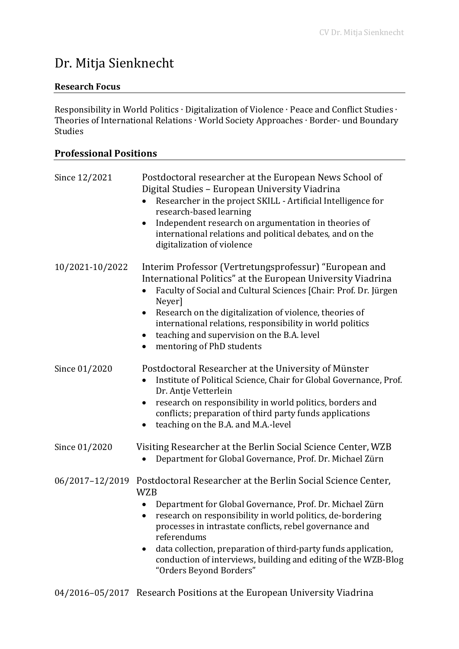# Dr. Mitja Sienknecht

#### **Research Focus**

Responsibility in World Politics ∙ Digitalization of Violence ∙ Peace and Conflict Studies ∙ Theories of International Relations ∙ World Society Approaches ∙ Border- und Boundary Studies

#### **Professional Positions**

| Since 12/2021   | Postdoctoral researcher at the European News School of<br>Digital Studies - European University Viadrina<br>Researcher in the project SKILL - Artificial Intelligence for<br>research-based learning<br>Independent research on argumentation in theories of<br>international relations and political debates, and on the<br>digitalization of violence                                                                                                                 |
|-----------------|-------------------------------------------------------------------------------------------------------------------------------------------------------------------------------------------------------------------------------------------------------------------------------------------------------------------------------------------------------------------------------------------------------------------------------------------------------------------------|
| 10/2021-10/2022 | Interim Professor (Vertretungsprofessur) "European and<br>International Politics" at the European University Viadrina<br>Faculty of Social and Cultural Sciences [Chair: Prof. Dr. Jürgen<br>Neyer]<br>Research on the digitalization of violence, theories of<br>$\bullet$<br>international relations, responsibility in world politics<br>teaching and supervision on the B.A. level<br>mentoring of PhD students<br>$\bullet$                                        |
| Since 01/2020   | Postdoctoral Researcher at the University of Münster<br>Institute of Political Science, Chair for Global Governance, Prof.<br>Dr. Antje Vetterlein<br>research on responsibility in world politics, borders and<br>conflicts; preparation of third party funds applications<br>teaching on the B.A. and M.A.-level<br>$\bullet$                                                                                                                                         |
| Since 01/2020   | Visiting Researcher at the Berlin Social Science Center, WZB<br>Department for Global Governance, Prof. Dr. Michael Zürn                                                                                                                                                                                                                                                                                                                                                |
|                 | 06/2017-12/2019 Postdoctoral Researcher at the Berlin Social Science Center,<br><b>WZB</b><br>Department for Global Governance, Prof. Dr. Michael Zürn<br>٠<br>research on responsibility in world politics, de-bordering<br>processes in intrastate conflicts, rebel governance and<br>referendums<br>data collection, preparation of third-party funds application,<br>٠<br>conduction of interviews, building and editing of the WZB-Blog<br>"Orders Beyond Borders" |

04/2016–05/2017 Research Positions at the European University Viadrina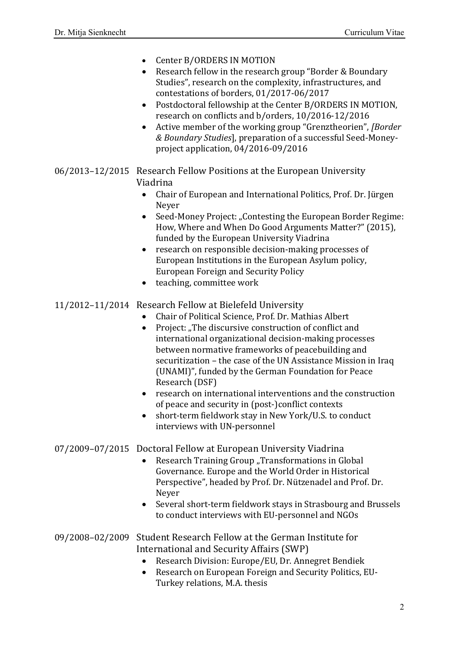- Center B/ORDERS IN MOTION
- Research fellow in the research group "Border & Boundary" Studies", research on the complexity, infrastructures, and contestations of borders, 01/2017-06/2017
- Postdoctoral fellowship at the Center B/ORDERS IN MOTION, research on conflicts and b/orders, 10/2016-12/2016
- Active member of the working group "Grenztheorien", *[Border & Boundary Studies*], preparation of a successful Seed-Moneyproject application, 04/2016-09/2016

#### 06/2013–12/2015 Research Fellow Positions at the European University Viadrina

- Chair of European and International Politics, Prof. Dr. Jürgen Neyer
- Seed-Money Project: "Contesting the European Border Regime: How, Where and When Do Good Arguments Matter?" (2015), funded by the European University Viadrina
- research on responsible decision-making processes of European Institutions in the European Asylum policy, European Foreign and Security Policy
- teaching, committee work

# 11/2012–11/2014 Research Fellow at Bielefeld University<br>Chair of Political Science, Prof. Dr. Mat

- Chair of Political Science, Prof. Dr. Mathias Albert
- Project: "The discursive construction of conflict and international organizational decision-making processes between normative frameworks of peacebuilding and securitization – the case of the UN Assistance Mission in Iraq (UNAMI)", funded by the German Foundation for Peace Research (DSF)
- research on international interventions and the construction of peace and security in (post-)conflict contexts
- short-term fieldwork stay in New York/U.S. to conduct interviews with UN-personnel

#### 07/2009–07/2015 Doctoral Fellow at European University Viadrina

- Research Training Group "Transformations in Global Governance. Europe and the World Order in Historical Perspective", headed by Prof. Dr. Nützenadel and Prof. Dr. Neyer
- Several short-term fieldwork stays in Strasbourg and Brussels to conduct interviews with EU-personnel and NGOs

# 09/2008–02/2009 Student Research Fellow at the German Institute for International and Security Affairs (SWP)<br>• Research Division: Europe/EU, Dr. Ann

- Research Division: Europe/EU, Dr. Annegret Bendiek
- Research on European Foreign and Security Politics, EU-Turkey relations, M.A. thesis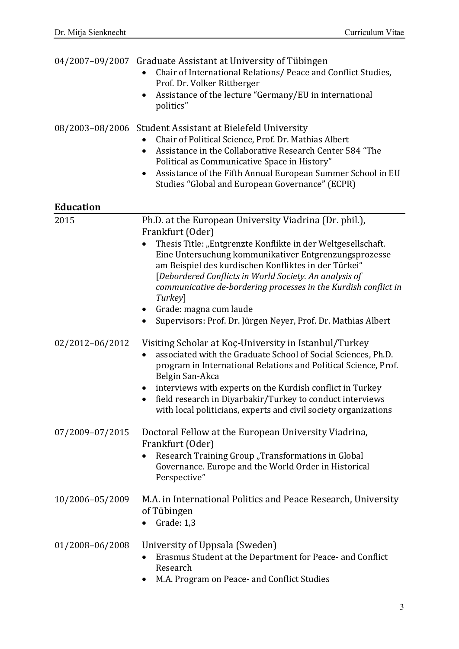|                  | 04/2007-09/2007 Graduate Assistant at University of Tübingen<br>Chair of International Relations/ Peace and Conflict Studies,<br>Prof. Dr. Volker Rittberger<br>Assistance of the lecture "Germany/EU in international<br>٠<br>politics"                                                                                                                                                                                                                                                                                 |
|------------------|--------------------------------------------------------------------------------------------------------------------------------------------------------------------------------------------------------------------------------------------------------------------------------------------------------------------------------------------------------------------------------------------------------------------------------------------------------------------------------------------------------------------------|
|                  | 08/2003-08/2006 Student Assistant at Bielefeld University<br>Chair of Political Science, Prof. Dr. Mathias Albert<br>Assistance in the Collaborative Research Center 584 "The<br>$\bullet$<br>Political as Communicative Space in History"<br>Assistance of the Fifth Annual European Summer School in EU<br>٠<br>Studies "Global and European Governance" (ECPR)                                                                                                                                                        |
| <b>Education</b> |                                                                                                                                                                                                                                                                                                                                                                                                                                                                                                                          |
| 2015             | Ph.D. at the European University Viadrina (Dr. phil.),<br>Frankfurt (Oder)<br>Thesis Title: "Entgrenzte Konflikte in der Weltgesellschaft.<br>$\bullet$<br>Eine Untersuchung kommunikativer Entgrenzungsprozesse<br>am Beispiel des kurdischen Konfliktes in der Türkei"<br>[Debordered Conflicts in World Society. An analysis of<br>communicative de-bordering processes in the Kurdish conflict in<br>Turkey]<br>Grade: magna cum laude<br>$\bullet$<br>Supervisors: Prof. Dr. Jürgen Neyer, Prof. Dr. Mathias Albert |
| 02/2012-06/2012  | Visiting Scholar at Koç-University in Istanbul/Turkey<br>associated with the Graduate School of Social Sciences, Ph.D.<br>$\bullet$<br>program in International Relations and Political Science, Prof.<br>Belgin San-Akca<br>interviews with experts on the Kurdish conflict in Turkey<br>field research in Diyarbakir/Turkey to conduct interviews<br>with local politicians, experts and civil society organizations                                                                                                   |
| 07/2009-07/2015  | Doctoral Fellow at the European University Viadrina,<br>Frankfurt (Oder)<br>Research Training Group "Transformations in Global<br>Governance. Europe and the World Order in Historical<br>Perspective"                                                                                                                                                                                                                                                                                                                   |
| 10/2006-05/2009  | M.A. in International Politics and Peace Research, University<br>of Tübingen<br>Grade: 1,3                                                                                                                                                                                                                                                                                                                                                                                                                               |
| 01/2008-06/2008  | University of Uppsala (Sweden)<br>Erasmus Student at the Department for Peace- and Conflict<br>Research<br>M.A. Program on Peace- and Conflict Studies                                                                                                                                                                                                                                                                                                                                                                   |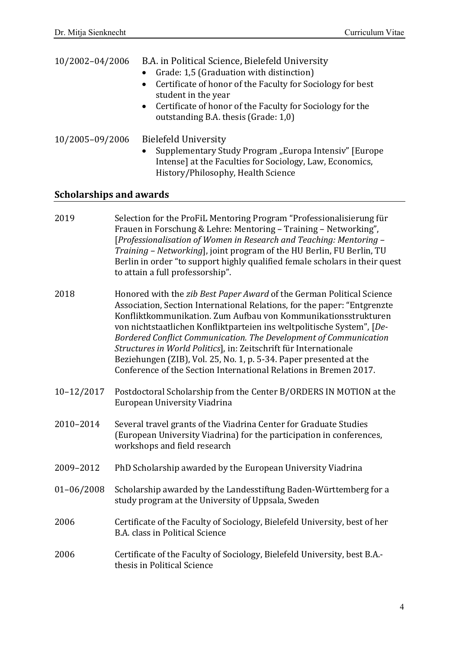| 10/2002-04/2006 | B.A. in Political Science, Bielefeld University<br>• Grade: 1,5 (Graduation with distinction)<br>• Certificate of honor of the Faculty for Sociology for best<br>student in the year<br>• Certificate of honor of the Faculty for Sociology for the<br>outstanding B.A. thesis (Grade: 1,0) |
|-----------------|---------------------------------------------------------------------------------------------------------------------------------------------------------------------------------------------------------------------------------------------------------------------------------------------|
| 10/2005-09/2006 | <b>Bielefeld University</b>                                                                                                                                                                                                                                                                 |

• Supplementary Study Program "Europa Intensiv" [Europe Intense] at the Faculties for Sociology, Law, Economics, History/Philosophy, Health Science

## **Scholarships and awards**

| 2019             | Selection for the ProFiL Mentoring Program "Professionalisierung für<br>Frauen in Forschung & Lehre: Mentoring - Training - Networking",<br>[Professionalisation of Women in Research and Teaching: Mentoring -<br>Training - Networking], joint program of the HU Berlin, FU Berlin, TU<br>Berlin in order "to support highly qualified female scholars in their quest<br>to attain a full professorship".                                                                                                                                                                        |
|------------------|------------------------------------------------------------------------------------------------------------------------------------------------------------------------------------------------------------------------------------------------------------------------------------------------------------------------------------------------------------------------------------------------------------------------------------------------------------------------------------------------------------------------------------------------------------------------------------|
| 2018             | Honored with the zib Best Paper Award of the German Political Science<br>Association, Section International Relations, for the paper: "Entgrenzte<br>Konfliktkommunikation. Zum Aufbau von Kommunikationsstrukturen<br>von nichtstaatlichen Konfliktparteien ins weltpolitische System", [De-<br>Bordered Conflict Communication. The Development of Communication<br>Structures in World Politics], in: Zeitschrift für Internationale<br>Beziehungen (ZIB), Vol. 25, No. 1, p. 5-34. Paper presented at the<br>Conference of the Section International Relations in Bremen 2017. |
| $10 - 12 / 2017$ | Postdoctoral Scholarship from the Center B/ORDERS IN MOTION at the<br>European University Viadrina                                                                                                                                                                                                                                                                                                                                                                                                                                                                                 |
| 2010-2014        | Several travel grants of the Viadrina Center for Graduate Studies<br>(European University Viadrina) for the participation in conferences,<br>workshops and field research                                                                                                                                                                                                                                                                                                                                                                                                          |
| 2009-2012        | PhD Scholarship awarded by the European University Viadrina                                                                                                                                                                                                                                                                                                                                                                                                                                                                                                                        |
| $01 - 06/2008$   | Scholarship awarded by the Landesstiftung Baden-Württemberg for a<br>study program at the University of Uppsala, Sweden                                                                                                                                                                                                                                                                                                                                                                                                                                                            |
| 2006             | Certificate of the Faculty of Sociology, Bielefeld University, best of her<br><b>B.A. class in Political Science</b>                                                                                                                                                                                                                                                                                                                                                                                                                                                               |
| 2006             | Certificate of the Faculty of Sociology, Bielefeld University, best B.A.-<br>thesis in Political Science                                                                                                                                                                                                                                                                                                                                                                                                                                                                           |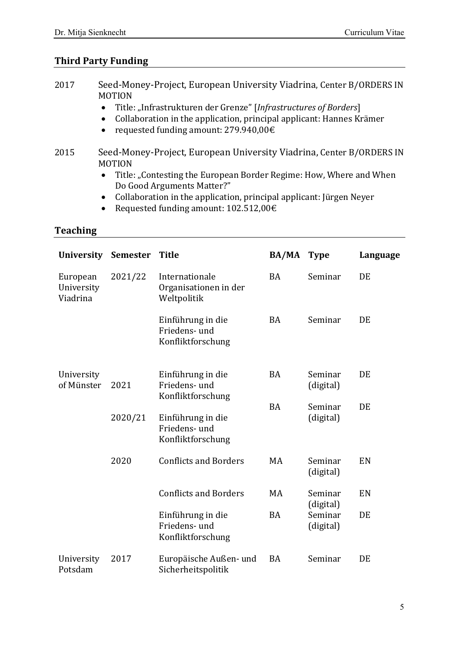## **Third Party Funding**

- 2017 Seed-Money-Project, European University Viadrina, Center B/ORDERS IN MOTION
	- Title: "Infrastrukturen der Grenze" [*Infrastructures of Borders*]<br>• Collaboration in the application, principal applicant: Hannes Ki
	- Collaboration in the application, principal applicant: Hannes Krämer
	- requested funding amount: 279.940,00€
- 2015 Seed-Money-Project, European University Viadrina, Center B/ORDERS IN MOTION<br>• Title
	- Title: "Contesting the European Border Regime: How, Where and When Do Good Arguments Matter?"
	- Collaboration in the application, principal applicant: Jürgen Neyer
	- Requested funding amount:  $102.512,00 \in$

## **Teaching**

| <b>University</b>                  | <b>Semester</b> | <b>Title</b>                                            | <b>BA/MA</b> | <b>Type</b>          | Language |
|------------------------------------|-----------------|---------------------------------------------------------|--------------|----------------------|----------|
| European<br>University<br>Viadrina | 2021/22         | Internationale<br>Organisationen in der<br>Weltpolitik  | <b>BA</b>    | Seminar              | DE       |
|                                    |                 | Einführung in die<br>Friedens- und<br>Konfliktforschung | <b>BA</b>    | Seminar              | DE       |
| University<br>of Münster           | 2021            | Einführung in die<br>Friedens- und<br>Konfliktforschung | <b>BA</b>    | Seminar<br>(digital) | DE       |
|                                    | 2020/21         | Einführung in die<br>Friedens- und<br>Konfliktforschung | <b>BA</b>    | Seminar<br>(digital) | DE       |
|                                    | 2020            | <b>Conflicts and Borders</b>                            | MA           | Seminar<br>(digital) | EN       |
|                                    |                 | <b>Conflicts and Borders</b>                            | MA           | Seminar<br>(digital) | EN       |
|                                    |                 | Einführung in die<br>Friedens- und<br>Konfliktforschung | <b>BA</b>    | Seminar<br>(digital) | DE       |
| University<br>Potsdam              | 2017            | Europäische Außen- und<br>Sicherheitspolitik            | <b>BA</b>    | Seminar              | DE       |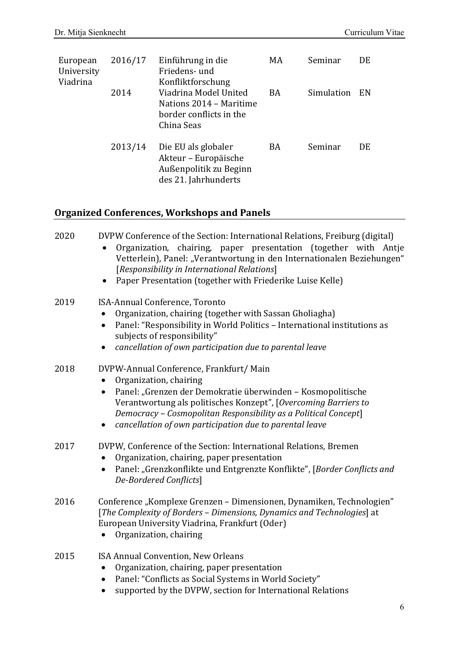| European<br>University<br>Viadrina | 2016/17 | Einführung in die<br>Friedens- und<br>Konfliktforschung                                       | MA | Seminar    | DE  |
|------------------------------------|---------|-----------------------------------------------------------------------------------------------|----|------------|-----|
|                                    | 2014    | Viadrina Model United<br>Nations 2014 - Maritime<br>border conflicts in the<br>China Seas     | BA | Simulation | EN  |
|                                    | 2013/14 | Die EU als globaler<br>Akteur - Europäische<br>Außenpolitik zu Beginn<br>des 21. Jahrhunderts | BA | Seminar    | DE. |

# **Organized Conferences, Workshops and Panels**

| 2020 | DVPW Conference of the Section: International Relations, Freiburg (digital)<br>Organization, chairing, paper presentation (together with Antje<br>Vetterlein), Panel: "Verantwortung in den Internationalen Beziehungen"<br>[Responsibility in International Relations]<br>Paper Presentation (together with Friederike Luise Kelle)           |
|------|------------------------------------------------------------------------------------------------------------------------------------------------------------------------------------------------------------------------------------------------------------------------------------------------------------------------------------------------|
| 2019 | ISA-Annual Conference, Toronto<br>Organization, chairing (together with Sassan Gholiagha)<br>Panel: "Responsibility in World Politics - International institutions as<br>$\bullet$<br>subjects of responsibility"<br>cancellation of own participation due to parental leave<br>$\bullet$                                                      |
| 2018 | DVPW-Annual Conference, Frankfurt/ Main<br>Organization, chairing<br>Panel: "Grenzen der Demokratie überwinden – Kosmopolitische<br>$\bullet$<br>Verantwortung als politisches Konzept", [Overcoming Barriers to<br>Democracy - Cosmopolitan Responsibility as a Political Concept]<br>cancellation of own participation due to parental leave |
| 2017 | DVPW, Conference of the Section: International Relations, Bremen<br>Organization, chairing, paper presentation<br>Panel: "Grenzkonflikte und Entgrenzte Konflikte", [Border Conflicts and<br>$\bullet$<br>De-Bordered Conflicts]                                                                                                               |
| 2016 | Conference "Komplexe Grenzen – Dimensionen, Dynamiken, Technologien"<br>[The Complexity of Borders - Dimensions, Dynamics and Technologies] at<br>European University Viadrina, Frankfurt (Oder)<br>Organization, chairing                                                                                                                     |
| 2015 | ISA Annual Convention, New Orleans<br>Organization, chairing, paper presentation<br>Panel: "Conflicts as Social Systems in World Society"<br>٠                                                                                                                                                                                                 |

• supported by the DVPW, section for International Relations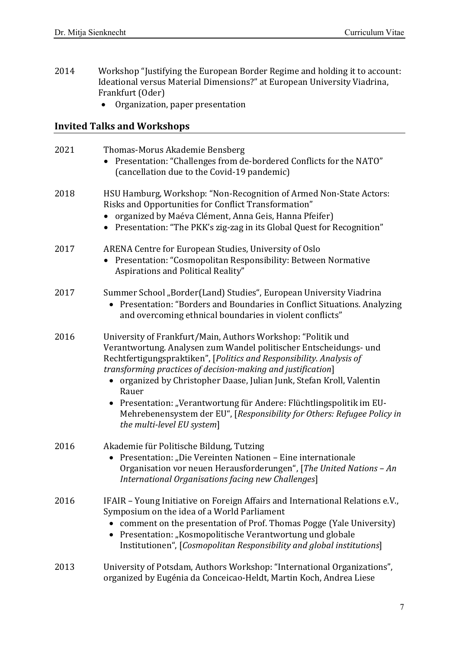- 2014 Workshop "Justifying the European Border Regime and holding it to account: Ideational versus Material Dimensions?" at European University Viadrina, Frankfurt (Oder)
	- Organization, paper presentation

# **Invited Talks and Workshops**

| 2021 | Thomas-Morus Akademie Bensberg<br>Presentation: "Challenges from de-bordered Conflicts for the NATO"<br>(cancellation due to the Covid-19 pandemic)                                                                                                                                                                                                                                                                                                                                                                                        |
|------|--------------------------------------------------------------------------------------------------------------------------------------------------------------------------------------------------------------------------------------------------------------------------------------------------------------------------------------------------------------------------------------------------------------------------------------------------------------------------------------------------------------------------------------------|
| 2018 | HSU Hamburg, Workshop: "Non-Recognition of Armed Non-State Actors:<br>Risks and Opportunities for Conflict Transformation"<br>organized by Maéva Clément, Anna Geis, Hanna Pfeifer)<br>• Presentation: "The PKK's zig-zag in its Global Quest for Recognition"                                                                                                                                                                                                                                                                             |
| 2017 | ARENA Centre for European Studies, University of Oslo<br>Presentation: "Cosmopolitan Responsibility: Between Normative<br>Aspirations and Political Reality"                                                                                                                                                                                                                                                                                                                                                                               |
| 2017 | Summer School "Border(Land) Studies", European University Viadrina<br>Presentation: "Borders and Boundaries in Conflict Situations. Analyzing<br>and overcoming ethnical boundaries in violent conflicts"                                                                                                                                                                                                                                                                                                                                  |
| 2016 | University of Frankfurt/Main, Authors Workshop: "Politik und<br>Verantwortung. Analysen zum Wandel politischer Entscheidungs- und<br>Rechtfertigungspraktiken", [Politics and Responsibility. Analysis of<br>transforming practices of decision-making and justification]<br>• organized by Christopher Daase, Julian Junk, Stefan Kroll, Valentin<br>Rauer<br>Presentation: "Verantwortung für Andere: Flüchtlingspolitik im EU-<br>Mehrebenensystem der EU", [Responsibility for Others: Refugee Policy in<br>the multi-level EU system] |
| 2016 | Akademie für Politische Bildung, Tutzing<br>Presentation: "Die Vereinten Nationen – Eine internationale<br>۰<br>Organisation vor neuen Herausforderungen", [The United Nations - An<br>International Organisations facing new Challenges]                                                                                                                                                                                                                                                                                                  |
| 2016 | IFAIR - Young Initiative on Foreign Affairs and International Relations e.V.,<br>Symposium on the idea of a World Parliament<br>• comment on the presentation of Prof. Thomas Pogge (Yale University)<br>Presentation: "Kosmopolitische Verantwortung und globale<br>$\bullet$<br>Institutionen", [Cosmopolitan Responsibility and global institutions]                                                                                                                                                                                    |
| 2013 | University of Potsdam, Authors Workshop: "International Organizations",<br>organized by Eugénia da Conceicao-Heldt, Martin Koch, Andrea Liese                                                                                                                                                                                                                                                                                                                                                                                              |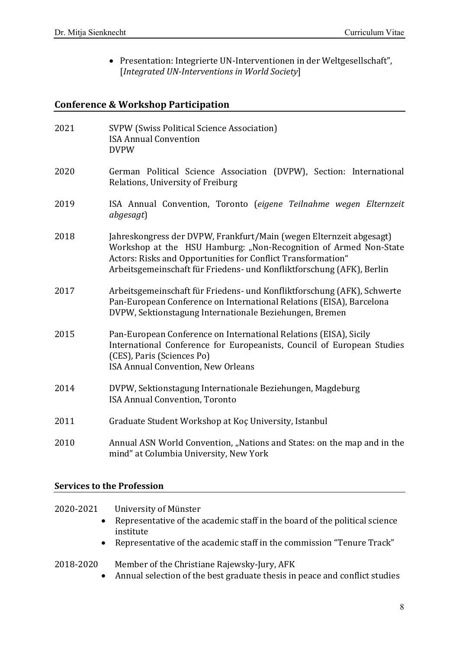• Presentation: Integrierte UN-Interventionen in der Weltgesellschaft", [*Integrated UN-Interventions in World Society*]

## **Conference & Workshop Participation**

| 2021 | <b>SVPW (Swiss Political Science Association)</b><br><b>ISA Annual Convention</b><br><b>DVPW</b>                                                                                                                                                                                 |
|------|----------------------------------------------------------------------------------------------------------------------------------------------------------------------------------------------------------------------------------------------------------------------------------|
| 2020 | German Political Science Association (DVPW), Section: International<br>Relations, University of Freiburg                                                                                                                                                                         |
| 2019 | ISA Annual Convention, Toronto (eigene Teilnahme wegen Elternzeit<br>abgesagt)                                                                                                                                                                                                   |
| 2018 | Jahreskongress der DVPW, Frankfurt/Main (wegen Elternzeit abgesagt)<br>Workshop at the HSU Hamburg: "Non-Recognition of Armed Non-State<br>Actors: Risks and Opportunities for Conflict Transformation"<br>Arbeitsgemeinschaft für Friedens- und Konfliktforschung (AFK), Berlin |
| 2017 | Arbeitsgemeinschaft für Friedens- und Konfliktforschung (AFK), Schwerte<br>Pan-European Conference on International Relations (EISA), Barcelona<br>DVPW, Sektionstagung Internationale Beziehungen, Bremen                                                                       |
| 2015 | Pan-European Conference on International Relations (EISA), Sicily<br>International Conference for Europeanists, Council of European Studies<br>(CES), Paris (Sciences Po)<br>ISA Annual Convention, New Orleans                                                                  |
| 2014 | DVPW, Sektionstagung Internationale Beziehungen, Magdeburg<br><b>ISA Annual Convention, Toronto</b>                                                                                                                                                                              |
| 2011 | Graduate Student Workshop at Koç University, Istanbul                                                                                                                                                                                                                            |
| 2010 | Annual ASN World Convention, "Nations and States: on the map and in the<br>mind" at Columbia University, New York                                                                                                                                                                |

#### **Services to the Profession**

#### 2020-2021 University of Münster

- Representative of the academic staff in the board of the political science institute
- Representative of the academic staff in the commission "Tenure Track"

#### 2018-2020 Member of the Christiane Rajewsky-Jury, AFK

• Annual selection of the best graduate thesis in peace and conflict studies